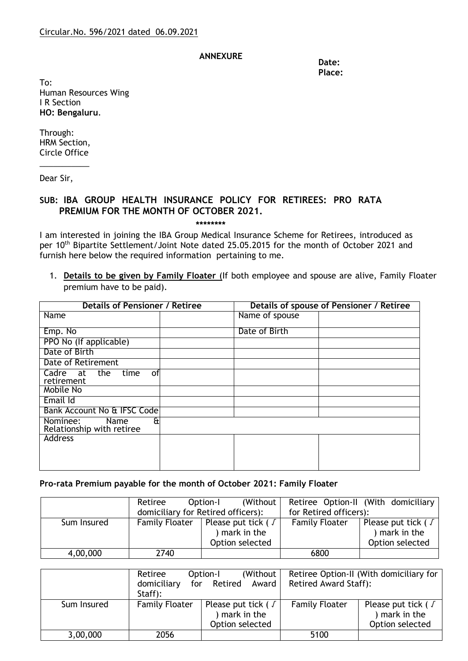## **ANNEXURE**

**Date: Place:**

To: Human Resources Wing I R Section **HO: Bengaluru**.

Through: HRM Section, Circle Office

\_\_\_\_\_\_\_\_\_\_\_

Dear Sir,

## **SUB: IBA GROUP HEALTH INSURANCE POLICY FOR RETIREES: PRO RATA PREMIUM FOR THE MONTH OF OCTOBER 2021.**

**\*\*\*\*\*\*\*\***

I am interested in joining the IBA Group Medical Insurance Scheme for Retirees, introduced as per 10<sup>th</sup> Bipartite Settlement/Joint Note dated 25.05.2015 for the month of October 2021 and furnish here below the required information pertaining to me.

1. **Details to be given by Family Floater** (If both employee and spouse are alive, Family Floater premium have to be paid).

| <b>Details of Pensioner / Retiree</b>                      |  | Details of spouse of Pensioner / Retiree |  |  |
|------------------------------------------------------------|--|------------------------------------------|--|--|
| Name                                                       |  | Name of spouse                           |  |  |
| Emp. No                                                    |  | Date of Birth                            |  |  |
| PPO No (If applicable)                                     |  |                                          |  |  |
| Date of Birth                                              |  |                                          |  |  |
| Date of Retirement                                         |  |                                          |  |  |
| the<br>Cadre at<br>time<br>οf<br>retirement                |  |                                          |  |  |
| Mobile No                                                  |  |                                          |  |  |
| Email Id                                                   |  |                                          |  |  |
| Bank Account No & IFSC Code                                |  |                                          |  |  |
| ۴ŧ<br>Nominee:<br><b>Name</b><br>Relationship with retiree |  |                                          |  |  |
| Address                                                    |  |                                          |  |  |
|                                                            |  |                                          |  |  |
|                                                            |  |                                          |  |  |

## **Pro-rata Premium payable for the month of October 2021: Family Floater**

|             | Retiree                            | (Without)<br>Option-I     |                        | Retiree Option-II (With domiciliary |
|-------------|------------------------------------|---------------------------|------------------------|-------------------------------------|
|             | domiciliary for Retired officers): |                           | for Retired officers): |                                     |
| Sum Insured | <b>Family Floater</b>              | Please put tick ( $\sqrt$ | <b>Family Floater</b>  | Please put tick ( $\sqrt$           |
|             |                                    | mark in the               |                        | ) mark in the                       |
|             |                                    | Option selected           |                        | Option selected                     |
| 4,00,000    | 2740                               |                           | 6800                   |                                     |

|             | Retiree<br>domiciliary<br>Staff): | (Without)<br>Option-I<br>for Retired<br>Award               | <b>Retired Award Staff):</b> | Retiree Option-II (With domiciliary for                 |
|-------------|-----------------------------------|-------------------------------------------------------------|------------------------------|---------------------------------------------------------|
| Sum Insured | <b>Family Floater</b>             | Please put tick ( $\sqrt$<br>mark in the<br>Option selected | <b>Family Floater</b>        | Please put tick ( J<br>) mark in the<br>Option selected |
| 3,00,000    | 2056                              |                                                             | 5100                         |                                                         |